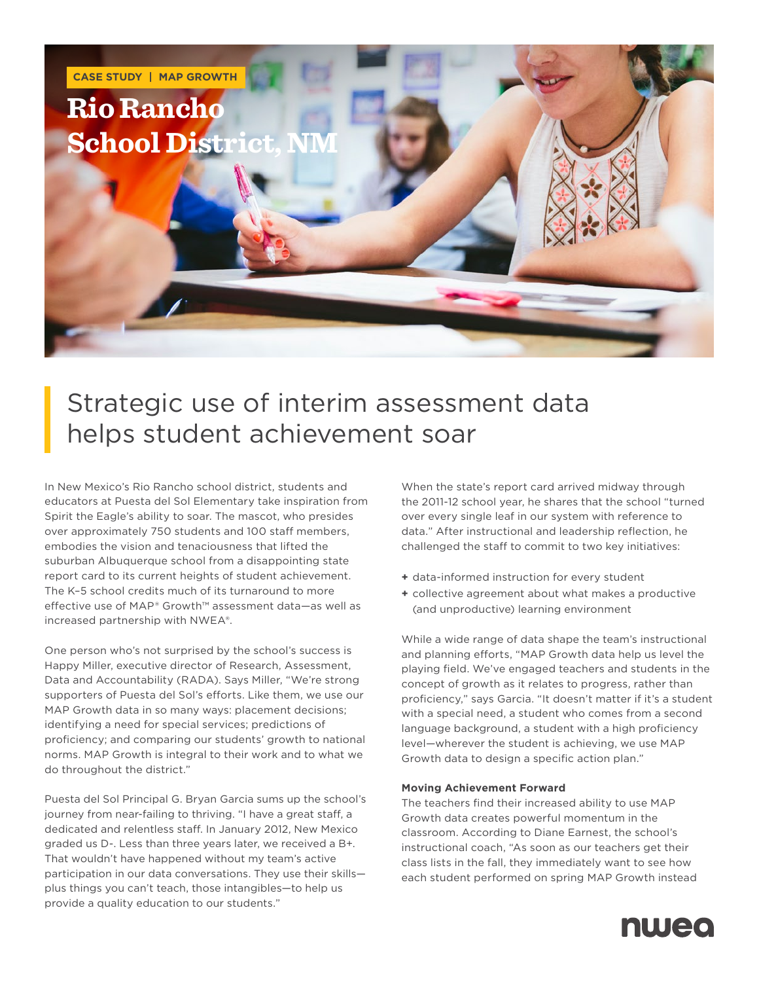

## Strategic use of interim assessment data helps student achievement soar

In New Mexico's Rio Rancho school district, students and educators at Puesta del Sol Elementary take inspiration from Spirit the Eagle's ability to soar. The mascot, who presides over approximately 750 students and 100 staff members, embodies the vision and tenaciousness that lifted the suburban Albuquerque school from a disappointing state report card to its current heights of student achievement. The K–5 school credits much of its turnaround to more effective use of MAP® Growth™ assessment data—as well as increased partnership with NWEA®.

One person who's not surprised by the school's success is Happy Miller, executive director of Research, Assessment, Data and Accountability (RADA). Says Miller, "We're strong supporters of Puesta del Sol's efforts. Like them, we use our MAP Growth data in so many ways: placement decisions; identifying a need for special services; predictions of proficiency; and comparing our students' growth to national norms. MAP Growth is integral to their work and to what we do throughout the district."

Puesta del Sol Principal G. Bryan Garcia sums up the school's journey from near-failing to thriving. "I have a great staff, a dedicated and relentless staff. In January 2012, New Mexico graded us D-. Less than three years later, we received a B+. That wouldn't have happened without my team's active participation in our data conversations. They use their skills plus things you can't teach, those intangibles—to help us provide a quality education to our students."

When the state's report card arrived midway through the 2011-12 school year, he shares that the school "turned over every single leaf in our system with reference to data." After instructional and leadership reflection, he challenged the staff to commit to two key initiatives:

- **+** data-informed instruction for every student
- **+** collective agreement about what makes a productive (and unproductive) learning environment

While a wide range of data shape the team's instructional and planning efforts, "MAP Growth data help us level the playing field. We've engaged teachers and students in the concept of growth as it relates to progress, rather than proficiency," says Garcia. "It doesn't matter if it's a student with a special need, a student who comes from a second language background, a student with a high proficiency level—wherever the student is achieving, we use MAP Growth data to design a specific action plan."

#### **Moving Achievement Forward**

The teachers find their increased ability to use MAP Growth data creates powerful momentum in the classroom. According to Diane Earnest, the school's instructional coach, "As soon as our teachers get their class lists in the fall, they immediately want to see how each student performed on spring MAP Growth instead